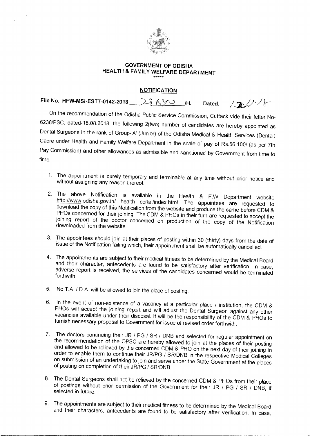

## **GOVERNMENT OF ODISHA HEALTH & FAMILY WELFARE DEPARTMENT**

## **NOTIFICATION**

File No. HFW-MSI-ESTT-0142-2018 286YO /H. Dated.  $121/8$ 

On the recommendation of the Odisha Public Service Commission, Cuttack vide their letter No-6238/PSC, dated-18.08.2018, the following 2(two) number of candidates are hereby appointed as Dental Surgeons in the rank of Group-'A' (Junior) of the Odisha Medical & Health Services (Dental) Cadre under Health and Family Welfare Department in the scale of pay of Rs.56,100/-(as per 7th Pay Commission) and other allowances as admissible and sanctioned by Government from time to time.

- 1. The appointment is purely temporary and terminable at any time without prior notice and without assigning any reason thereof.
- 2. The above Notification is available in the Health & F.W Department website http://www.odisha.gov.in/ health portal/index.html. The appointees are requested to download the copy of this Notification from the website and produce the same before CDM & PHOs concerned for their joining. The CDM & PHOs in their turn are requested to accept the joining report of the doctor concerned on production of the copy of the Notification downloaded from the website.
- 3. The appointees should join at their places of posting within 30 (thirty) days from the date of issue of the Notification failing which, their appointment shall be automatically cancelled.
- 4. The appointments are subject to their medical fitness to be determined by the Medical Board and their character, antecedents are found to be satisfactory after verification. In case, adverse report is received, the services of the candidates concerned would be terminated forthwith.
- 5. No T.A. / D.A. will be allowed to join the place of posting.
- 6. In the event of non-existence of a vacancy at a particular place / institution, the CDM & PHOs will accept the joining report and will adjust the Dental Surgeon against any other vacancies available under their disposal. It will be the responsibility of the CDM & PHOs to furnish necessary proposal to Government for issue of revised order forthwith.
- 7. The doctors continuing their JR / PG / SR / DNB and selected for regular appointment on the recommendation of the OPSC are hereby allowed to join at the places of their posting and allowed to be relieved by the concerned CDM & PHO on the next day of their joining in order to enable them to continue their JR/PG / SR/DNB in the respective Medical Colleges on submission of an undertaking to join and serve under the State Government at the places of posting on completion of their JR/PG / SR/DNB.
- 8. The Dental Surgeons shall not be relieved by the concerned CDM & PHOs from their place of postings without prior permission of the Government for their JR / PG / SR / DNB, if selected in future.
- 9. The appointments are subject to their medical fitness to be determined by the Medical Board and their characters, antecedents are found to be satisfactory after verification. In case,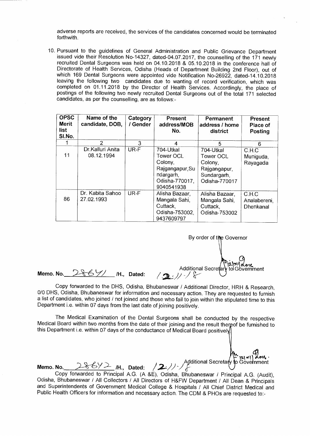adverse reports are received, the services of the candidates concerned would be terminated forthwith.

10. Pursuant to the guidelines of General Administration and Public Grievance Department issued vide their Resolution No-14327, dated-04.07.2017, the counselling of the 171 newly recruited Dental Surgeons was held on 04.10.2018 & 05.10.2018 in the conference hall of Directorate of Health Services, Odisha (Heads of Department Building 2nd Floor), out of which 169 Dental Surgeons were appointed vide Notification No-26922, dated-14.10.2018 leaving the following two candidates due to wanting of record verification, which was completed on 01.11.2018 by the Director of Health Services. Accordingly, the place of postings of the following two newly recruited Dental Surgeons out of the total 171 selected candidates, as per the counselling, are as follows:-

| <b>OPSC</b><br>Merit<br>list<br>SI.No. | Name of the<br>candidate, DOB, | Category<br>/ Gender | <b>Present</b><br>address/MOB<br>No.                                                              | <b>Permanent</b><br>address / home<br>district                                    | <b>Present</b><br>Place of<br><b>Posting</b> |
|----------------------------------------|--------------------------------|----------------------|---------------------------------------------------------------------------------------------------|-----------------------------------------------------------------------------------|----------------------------------------------|
|                                        | $\mathcal{P}$                  | 3                    | 4                                                                                                 | 5                                                                                 | 6                                            |
| 11                                     | Dr.Kalluri Anita<br>08.12.1994 | UR-F                 | 704-Utkal<br>Tower OCL<br>Colony,<br>Rajgangapur, Su<br>ndargarh,<br>Odisha-770017,<br>9040541938 | 704-Utkal<br>Tower OCL<br>Colony,<br>Rajgangapur,<br>Sundargarh,<br>Odisha-770017 | C.H.C<br>Muniguda,<br>Rayagada               |
| 86                                     | Dr. Kabita Sahoo<br>27.02.1993 | UR-F                 | Alisha Bazaar,<br>Mangala Sahi,<br>Cuttack.<br>Odisha-753002,<br>9437609797                       | Alisha Bazaar,<br>Mangala Sahi,<br>Cuttack,<br>Odisha-753002                      | C.H.C<br>Analabereni,<br>Dhenkanal           |

 $|2|X'|$ nment By order of the Governor Additional Secreta

**Memo. No.** 2869/ /H., Dated:

Copy forwarded to the DHS, Odisha, Bhubaneswar / Additional Director, HRH & Research, 0/0 DHS, Odisha, Bhubaneswar for information and necessary action. They are requested to furnish a list of candidates, who joined / not joined and those who fail to join within the stipulated time to this Department i.e. within 07 days from the last date of joining positively.

The Medical Examination of the Dental Surgeons shall be conducted by the respective Medical Board within two months from the date of their joining and the result thereof be furnished to this Department i.e. within 07 days of the conductance of Medical Board positively!

 $\langle 242\rangle$  Additional Secretary

**Memo. No.** 28672 /H., Dated: Copy forwarded to Principal A.G. (A &E), Odisha, Bhubaneswar / Principal A.G. (Audit), Odisha, Bhubaneswar / All Collectors / All Directors of H&FW Department / All Dean & Principals and Superintendents of Government Medical College & Hospitals / All Chief District Medical and Public Health Officers for information and necessary action. The CDM & PHOs are requested to:-